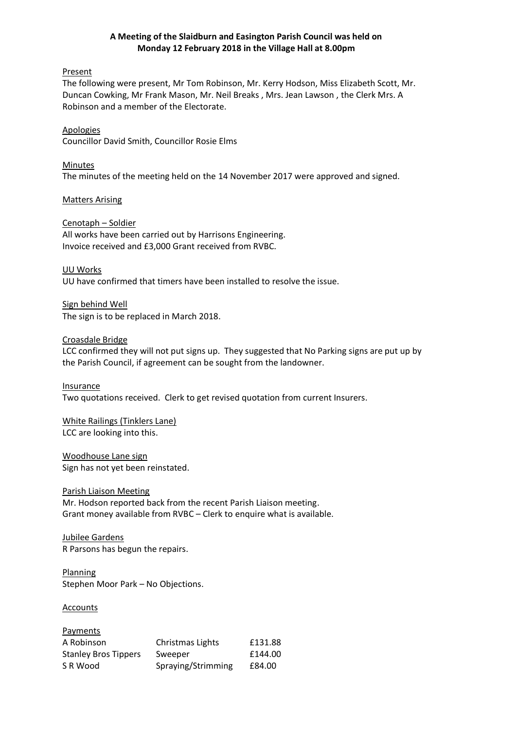## **A Meeting of the Slaidburn and Easington Parish Council was held on Monday 12 February 2018 in the Village Hall at 8.00pm**

Present

The following were present, Mr Tom Robinson, Mr. Kerry Hodson, Miss Elizabeth Scott, Mr. Duncan Cowking, Mr Frank Mason, Mr. Neil Breaks , Mrs. Jean Lawson , the Clerk Mrs. A Robinson and a member of the Electorate.

Apologies Councillor David Smith, Councillor Rosie Elms

Minutes The minutes of the meeting held on the 14 November 2017 were approved and signed.

Matters Arising

Cenotaph – Soldier All works have been carried out by Harrisons Engineering. Invoice received and £3,000 Grant received from RVBC.

UU Works UU have confirmed that timers have been installed to resolve the issue.

Sign behind Well The sign is to be replaced in March 2018.

Croasdale Bridge

LCC confirmed they will not put signs up. They suggested that No Parking signs are put up by the Parish Council, if agreement can be sought from the landowner.

Insurance Two quotations received. Clerk to get revised quotation from current Insurers.

White Railings (Tinklers Lane) LCC are looking into this.

Woodhouse Lane sign Sign has not yet been reinstated.

Parish Liaison Meeting Mr. Hodson reported back from the recent Parish Liaison meeting. Grant money available from RVBC – Clerk to enquire what is available.

Jubilee Gardens R Parsons has begun the repairs.

Planning Stephen Moor Park – No Objections.

**Accounts** 

| Payments                    |                    |         |
|-----------------------------|--------------------|---------|
| A Robinson                  | Christmas Lights   | £131.88 |
| <b>Stanley Bros Tippers</b> | Sweeper            | £144.00 |
| S R Wood                    | Spraying/Strimming | £84.00  |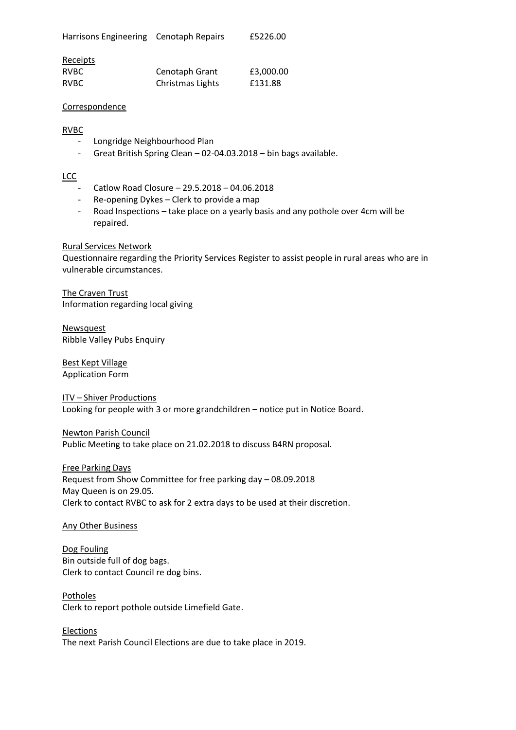| Harrisons Engineering Cenotaph Repairs |  | £5226.00 |
|----------------------------------------|--|----------|
|----------------------------------------|--|----------|

| <b>Receipts</b> |                  |           |
|-----------------|------------------|-----------|
| <b>RVBC</b>     | Cenotaph Grant   | £3,000.00 |
| <b>RVBC</b>     | Christmas Lights | £131.88   |

#### **Correspondence**

## RVBC

- Longridge Neighbourhood Plan
- Great British Spring Clean 02-04.03.2018 bin bags available.

# **LCC**

- Catlow Road Closure 29.5.2018 04.06.2018
- Re-opening Dykes Clerk to provide a map
- Road Inspections take place on a yearly basis and any pothole over 4cm will be repaired.

## Rural Services Network

Questionnaire regarding the Priority Services Register to assist people in rural areas who are in vulnerable circumstances.

The Craven Trust Information regarding local giving

Newsquest Ribble Valley Pubs Enquiry

Best Kept Village Application Form

ITV – Shiver Productions Looking for people with 3 or more grandchildren – notice put in Notice Board.

Newton Parish Council Public Meeting to take place on 21.02.2018 to discuss B4RN proposal.

Free Parking Days Request from Show Committee for free parking day – 08.09.2018 May Queen is on 29.05. Clerk to contact RVBC to ask for 2 extra days to be used at their discretion.

## Any Other Business

Dog Fouling Bin outside full of dog bags. Clerk to contact Council re dog bins.

Potholes Clerk to report pothole outside Limefield Gate.

**Elections** The next Parish Council Elections are due to take place in 2019.